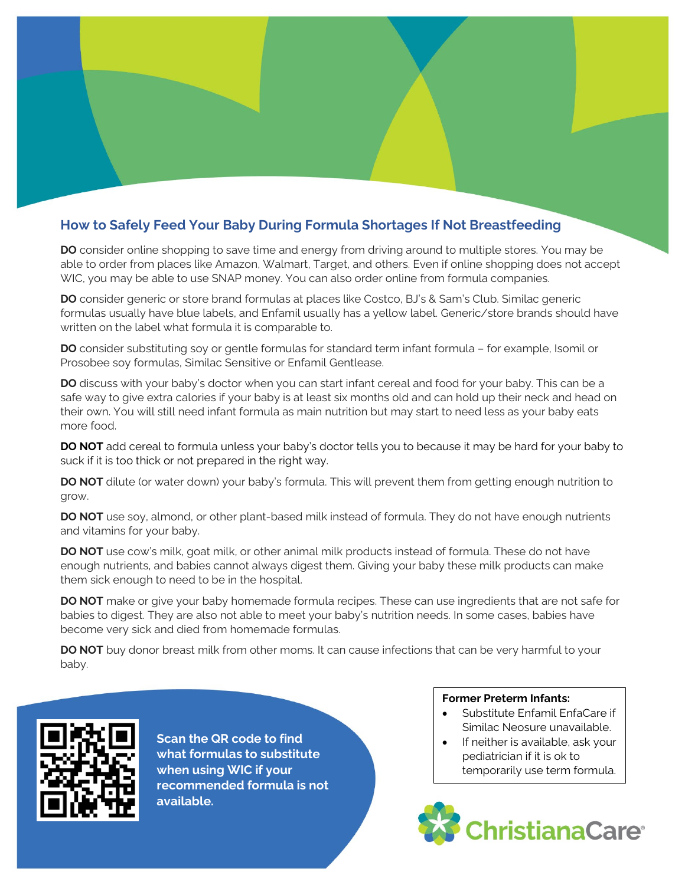## **How to Safely Feed Your Baby During Formula Shortages If Not Breastfeeding**

**DO** consider online shopping to save time and energy from driving around to multiple stores. You may be able to order from places like Amazon, Walmart, Target, and others. Even if online shopping does not accept WIC, you may be able to use SNAP money. You can also order online from formula companies.

**DO** consider generic or store brand formulas at places like Costco, BJ's & Sam's Club. Similac generic formulas usually have blue labels, and Enfamil usually has a yellow label. Generic/store brands should have written on the label what formula it is comparable to.

**DO** consider substituting soy or gentle formulas for standard term infant formula – for example, Isomil or Prosobee soy formulas, Similac Sensitive or Enfamil Gentlease.

**DO** discuss with your baby's doctor when you can start infant cereal and food for your baby. This can be a safe way to give extra calories if your baby is at least six months old and can hold up their neck and head on their own. You will still need infant formula as main nutrition but may start to need less as your baby eats more food.

**DO NOT** add cereal to formula unless your baby's doctor tells you to because it may be hard for your baby to suck if it is too thick or not prepared in the right way.

**DO NOT** dilute (or water down) your baby's formula. This will prevent them from getting enough nutrition to grow.

**DO NOT** use soy, almond, or other plant-based milk instead of formula. They do not have enough nutrients and vitamins for your baby.

**DO NOT** use cow's milk, goat milk, or other animal milk products instead of formula. These do not have enough nutrients, and babies cannot always digest them. Giving your baby these milk products can make them sick enough to need to be in the hospital.

**DO NOT** make or give your baby homemade formula recipes. These can use ingredients that are not safe for babies to digest. They are also not able to meet your baby's nutrition needs. In some cases, babies have become very sick and died from homemade formulas.

**DO NOT** buy donor breast milk from other moms. It can cause infections that can be very harmful to your baby.



**Scan the QR code to find what formulas to substitute when using WIC if your recommended formula is not available.**

## **Former Preterm Infants:**

- Substitute Enfamil EnfaCare if Similac Neosure unavailable.
- If neither is available, ask your pediatrician if it is ok to temporarily use term formula.